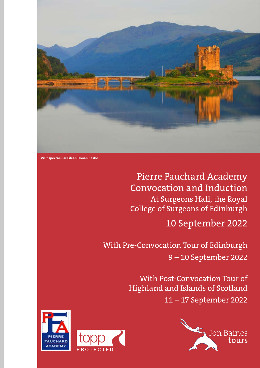

**Visit spectacular Eilean Donan Castle**

Pierre Fauchard Academy Convocation and Induction At Surgeons Hall, the Royal College of Surgeons of Edinburgh

10 September 2022

With Pre-Convocation Tour of Edinburgh 9 – 10 September 2022

> With Post-Convocation Tour of Highland and Islands of Scotland 11 – 17 September 2022



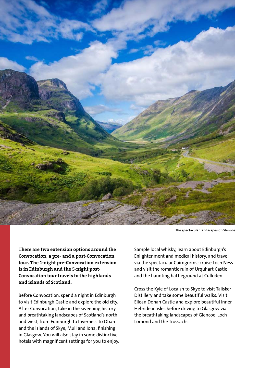

**The spectacular landscapes of Glencoe**

**There are two extension options around the Convocation; a pre- and a post-Convocation tour. The 1-night pre-Convocation extension is in Edinburgh and the 5-night post-Convocation tour travels to the highlands and islands of Scotland.** 

Before Convocation, spend a night in Edinburgh to visit Edinburgh Castle and explore the old city. After Convocation, take in the sweeping history and breathtaking landscapes of Scotland's north and west, from Edinburgh to Inverness to Oban and the islands of Skye, Mull and Iona, finishing in Glasgow. You will also stay in some distinctive hotels with magnificent settings for you to enjoy.

Sample local whisky, learn about Edinburgh's Enlightenment and medical history, and travel via the spectacular Cairngorms; cruise Loch Ness and visit the romantic ruin of Urquhart Castle and the haunting battleground at Culloden.

Cross the Kyle of Localsh to Skye to visit Talisker Distillery and take some beautiful walks. Visit Eilean Donan Castle and explore beautiful Inner Hebridean isles before driving to Glasgow via the breathtaking landscapes of Glencoe, Loch Lomond and the Trossachs.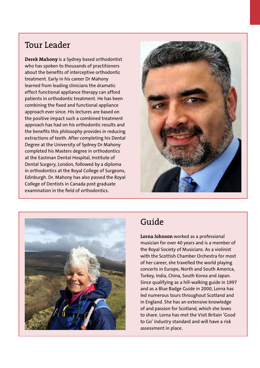# Tour Leader

**Derek Mahony** is a Sydney based orthodontist who has spoken to thousands of practitioners about the benefits of interceptive orthodontic treatment. Early in his career Dr Mahony learned from leading clinicians the dramatic effect functional appliance therapy can afford patients in orthodontic treatment. He has been combining the fixed and functional appliance approach ever since. His lectures are based on the positive impact such a combined treatment approach has had on his orthodontic results and the benefits this philosophy provides in reducing extractions of teeth. After completing his Dental Degree at the University of Sydney Dr Mahony completed his Masters degree in orthodontics at the Eastman Dental Hospital, Institute of Dental Surgery, London, followed by a diploma in orthodontics at the Royal College of Surgeons, Edinburgh. Dr. Mahony has also passed the Royal College of Dentists in Canada post graduate examination in the field of orthodontics.





# Guide

**Lorna Johnson** worked as a professional musician for over 40 years and is a member of the Royal Society of Musicians. As a violinist with the Scottish Chamber Orchestra for most of her career, she travelled the world playing concerts in Europe, North and South America, Turkey, India, China, South Korea and Japan. Since qualifying as a hill-walking guide in 1997 and as a Blue Badge Guide in 2000, Lorna has led numerous tours throughout Scotland and in England. She has an extensive knowledge of and passion for Scotland, which she loves to share. Lorna has met the Visit Britain 'Good to Go' industry standard and will have a risk assessment in place.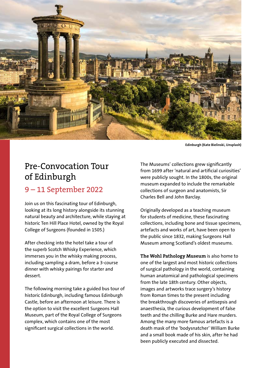

**Edinburgh (Kate Bielinski, Unsplash)**

# Pre-Convocation Tour of Edinburgh

9 – 11 September 2022

Join us on this fascinating tour of Edinburgh, looking at its long history alongside its stunning natural beauty and architecture, while staying at historic Ten Hill Place Hotel, owned by the Royal College of Surgeons (founded in 1505.)

After checking into the hotel take a tour of the superb Scotch Whisky Experience, which immerses you in the whisky making process, including sampling a dram, before a 3-course dinner with whisky pairings for starter and dessert.

The following morning take a guided bus tour of historic Edinburgh, including famous Edinburgh Castle, before an afternoon at leisure. There is the option to visit the excellent Surgeons Hall Museum, part of the Royal College of Surgeons complex, which contains one of the most significant surgical collections in the world.

The Museums' collections grew significantly from 1699 after 'natural and artificial curiosities' were publicly sought. In the 1800s, the original museum expanded to include the remarkable collections of surgeon and anatomists, Sir Charles Bell and John Barclay.

Originally developed as a teaching museum for students of medicine, these fascinating collections, including bone and tissue specimens, artefacts and works of art, have been open to the public since 1832, making Surgeons Hall Museum among Scotland's oldest museums.

**The Wohl Pathology Museum** is also home to one of the largest and most historic collections of surgical pathology in the world, containing human anatomical and pathological specimens from the late 18th century. Other objects, images and artworks trace surgery's history from Roman times to the present including the breakthrough discoveries of antisepsis and anaesthesia, the curious development of false teeth and the chilling Burke and Hare murders. Among the many more famous artefacts is a death mask of the 'bodysnatcher' William Burke and a small book made of his skin, after he had been publicly executed and dissected.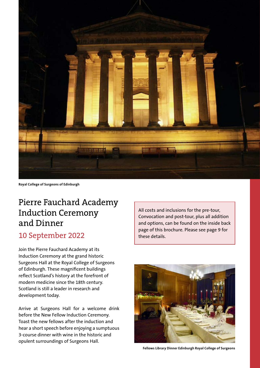

**Royal College of Surgeons of Edinburgh**

# Pierre Fauchard Academy Induction Ceremony and Dinner

# 10 September 2022

Join the Pierre Fauchard Academy at its Induction Ceremony at the grand historic Surgeons Hall at the Royal College of Surgeons of Edinburgh. These magnificent buildings reflect Scotland's history at the forefront of modern medicine since the 18th century. Scotland is still a leader in research and development today.

Arrive at Surgeons Hall for a welcome drink before the New Fellow Induction Ceremony. Toast the new fellows after the induction and hear a short speech before enjoying a sumptuous 3-course dinner with wine in the historic and opulent surroundings of Surgeons Hall.

All costs and inclusions for the pre-tour, Convocation and post-tour, plus all addition and options, can be found on the inside back page of this brochure. Please see page 9 for these details.



**Fellows Library Dinner Edinburgh Royal College of Surgeons**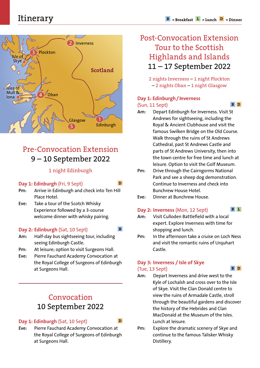

# Pre-Convocation Extension 9 – 10 September 2022

### 1 night Edinburgh

### **Day 1: Edinburgh** (Fri, 9 Sept)

- **Pm:** Arrive in Edinburgh and check into Ten Hill Place Hotel.
- **Eve:** Take a tour of the Scotch Whisky Experience followed by a 3-course welcome dinner with whisky pairing.

### **Day 2: Edinburgh** (Sat, 10 Sept)

- **Am:** Half-day bus sightseeing tour, including seeing Edinburgh Castle.
- **Pm:** At leisure; option to visit Surgeons Hall.
- **Eve:** Pierre Fauchard Academy Convocation at the Royal College of Surgeons of Edinburgh at Surgeons Hall.

# Convocation 10 September 2022

## **Day 1: Edinburgh** (Sat, 10 Sept)

**Eve:** Pierre Fauchard Academy Convocation at the Royal College of Surgeons of Edinburgh at Surgeons Hall.

# Post-Convocation Extension Tour to the Scottish Highlands and Islands 11 – 17 September 2022

2 nights Inverness – 1 night Plockton – 2 nights Oban – 1 night Glasgow

### **Day 1: Edinburgh / Inverness** (Sun, 11 Sept)

- **Am:** Depart Edinburgh for Inverness. Visit St Andrews for sightseeing, including the Royal & Ancient Clubhouse and visit the famous Swilken Bridge on the Old Course. Walk through the ruins of St Andrews Cathedral, past St Andrews Castle and parts of St Andrews University, then into the town centre for free time and lunch at leisure. Option to visit the Golf Museum.
- **Pm:** Drive through the Cairngorms National Park and see a sheep dog demonstration. Continue to Inverness and check into Bunchrew House Hotel.
- **Eve:** Dinner at Bunchrew House.

### **Day 2: Inverness** (Mon, 12 Sept)

**B L**

**B D**

- **Am:** Visit Culloden Battlefield with a local expert. Explore Inverness with time for shopping and lunch.
- **Pm:** In the afternoon take a cruise on Loch Ness and visit the romantic ruins of Urquhart Castle.

### **Day 3: Inverness / Isle of Skye**  (Tue, 13 Sept)

**B D**

- **Am:** Depart Inverness and drive west to the Kyle of Lochalsh and cross over to the Isle of Skye. Visit the Clan Donald centre to view the ruins of Armadale Castle, stroll through the beautiful gardens and discover the history of the Hebrides and Clan MacDonald at the Museum of the Isles. Lunch at leisure.
- **Pm:** Explore the dramatic scenery of Skye and continue to the famous Talisker Whisky Distillery.

**B**

**D**

**D**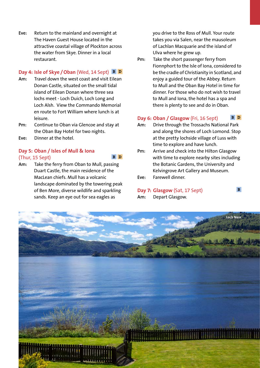**Eve:** Return to the mainland and overnight at The Haven Guest House located in the attractive coastal village of Plockton across the water from Skye. Dinner in a local restaurant.

### **Day 4: Isle of Skye / Oban** (Wed, 14 Sept) **B D**

- **Am:** Travel down the west coast and visit Eilean Donan Castle, situated on the small tidal island of Eilean Donan where three sea lochs meet - Loch Duich, Loch Long and Loch Alsh. View the Commando Memorial en route to Fort William where lunch is at leisure.
- **Pm:** Continue to Oban via Glencoe and stay at the Oban Bay Hotel for two nights.
- **Eve:** Dinner at the hotel.

### **Day 5: Oban / Isles of Mull & Iona**  (Thur, 15 Sept)

**B D**

**Am:** Take the ferry from Oban to Mull, passing Duart Castle, the main residence of the MacLean chiefs. Mull has a volcanic landscape dominated by the towering peak of Ben More, diverse wildlife and sparkling sands. Keep an eye out for sea eagles as

you drive to the Ross of Mull. Your route takes you via Salen, near the mausoleum of Lachlan Macquarie and the island of Ulva where he grew up.

**Pm:** Take the short passenger ferry from Fionnphort to the Isle of Iona, considered to be the cradle of Christianity in Scotland, and enjoy a guided tour of the Abbey. Return to Mull and the Oban Bay Hotel in time for dinner. For those who do not wish to travel to Mull and Iona, the hotel has a spa and there is plenty to see and do in Oban.

#### **Day 6: Oban / Glasgow** (Fri, 16 Sept) **B D**

- **Am:** Drive through the Trossachs National Park and along the shores of Loch Lomond. Stop at the pretty lochside village of Luss with time to explore and have lunch.
- **Pm:** Arrive and check into the Hilton Glasgow with time to explore nearby sites including the Botanic Gardens, the University and Kelvingrove Art Gallery and Museum.

**B**

**Eve:** Farewell dinner.

### **Day 7: Glasgow** (Sat, 17 Sept) **Am:** Depart Glasgow.

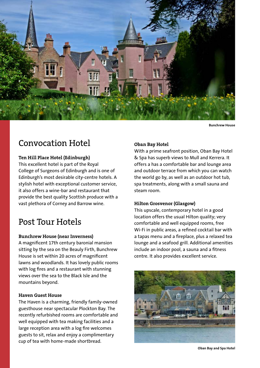

**Bunchrew House**

# Convocation Hotel

#### **Ten Hill Place Hotel (Edinburgh)**

This excellent hotel is part of the Royal College of Surgeons of Edinburgh and is one of Edinburgh's most desirable city-centre hotels. A stylish hotel with exceptional customer service, it also offers a wine-bar and restaurant that provide the best quality Scottish produce with a vast plethora of Corney and Barrow wine.

# Post Tour Hotels

### **Bunchrew House (near Inverness)**

A magnificent 17th century baronial mansion sitting by the sea on the Beauly Firth, Bunchrew House is set within 20 acres of magnificent lawns and woodlands. It has lovely public rooms with log fires and a restaurant with stunning views over the sea to the Black Isle and the mountains beyond.

#### **Haven Guest House**

The Haven is a charming, friendly family-owned guesthouse near spectacular Plockton Bay. The recently refurbished rooms are comfortable and well equipped with tea making facilities and a large reception area with a log fire welcomes guests to sit, relax and enjoy a complimentary cup of tea with home-made shortbread.

### **Oban Bay Hotel**

With a prime seafront position, Oban Bay Hotel & Spa has superb views to Mull and Kerrera. It offers a has a comfortable bar and lounge area and outdoor terrace from which you can watch the world go by, as well as an outdoor hot tub, spa treatments, along with a small sauna and steam room.

#### **Hilton Grosvenor (Glasgow)**

This upscale, contemporary hotel in a good location offers the usual Hilton quality; very comfortable and well equipped rooms, free Wi-Fi in public areas, a refined cocktail bar with a tapas menu and a fireplace, plus a relaxed tea lounge and a seafood grill. Additional amenities include an indoor pool, a sauna and a fitness centre. It also provides excellent service.



**Oban Bay and Spa Hotel**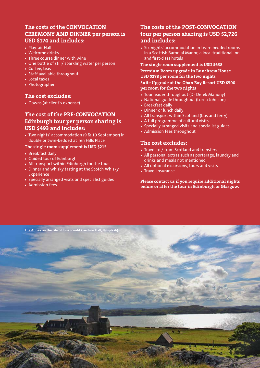### **The costs of the CONVOCATION CEREMONY AND DINNER per person is USD \$174 and includes:**

- Playfair Hall
- Welcome drinks
- Three course dinner with wine
- One bottle of still/ sparkling water per person
- Coffee, teas
- Staff available throughout
- Local taxes
- Photographer

### **The cost excludes:**

• Gowns (at client's expense)

### **The cost of the PRE-CONVOCATION Edinburgh tour per person sharing is USD \$493 and includes:**

• Two nights' accommodation (9 & 10 September) in double or twin-bedded at Ten Hills Place

#### **The single room supplement is USD \$215**

- Breakfast daily
- Guided tour of Edinburgh
- All transport within Edinburgh for the tour
- Dinner and whisky tasting at the Scotch Whisky Experience
- Specially arranged visits and specialist guides
- Admission fees

### **The costs of the POST-CONVOCATION tour per person sharing is USD \$2,726 and includes:**

• Six nights' accommodation in twin- bedded rooms in a Scottish Baronial Manor, a local traditional Inn and first-class hotels

#### **The single room supplement is USD \$638**

#### **Premium Room upgrade in Bunchrew House USD \$278 per room for the two nights**

#### **Suite Upgrade at the Oban Bay Resort USD \$500 per room for the two nights**

- Tour leader throughout (Dr Derek Mahony)
- National guide throughout (Lorna Johnson)
- Breakfast daily
- Dinner or lunch daily
- All transport within Scotland (bus and ferry)
- A full programme of cultural visits
- Specially arranged visits and specialist guides
- Admission fees throughout

### **The cost excludes:**

- Travel to / from Scotland and transfers
- All personal extras such as porterage, laundry and drinks and meals not mentioned
- All optional excursions, tours and visits
- Travel insurance

**Please contact us if you require additional nights before or after the tour in Edinburgh or Glasgow.**